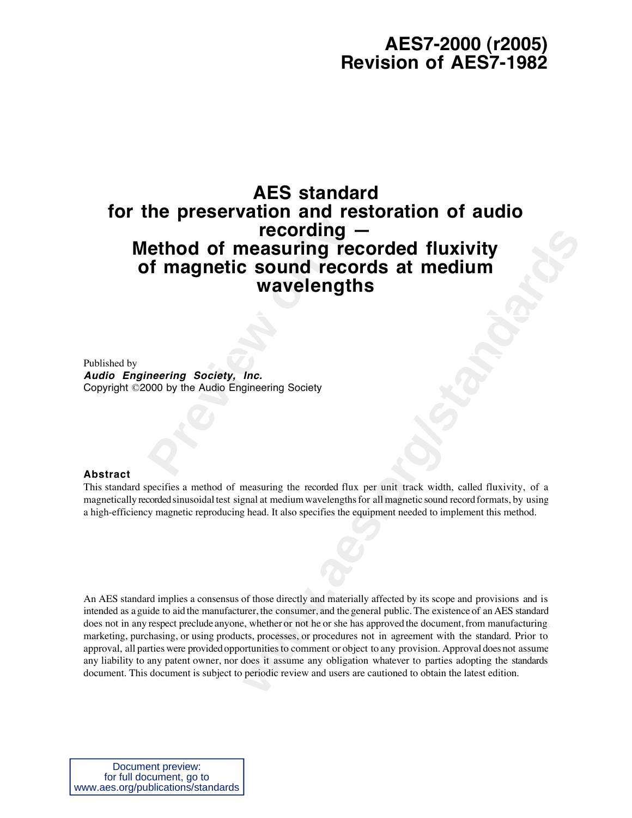# **AES7-2000 (r2005) Revision of AES7-1982**

# recording -<br>
ethod of measuring recording<br>
of magnetic sound reco<br>
wavelength<br>
meering Society, Inc.<br>
neering Society, Inc.<br>
000 by the Audio Engineering Society **AES standard for the preservation and restoration of audio recording — Method of measuring recorded fluxivity of magnetic sound records at medium wavelengths**

Published by **Audio Engineering Society, Inc.** Copyright ©2000 by the Audio Engineering Society

#### **Abstract**

This standard specifies a method of measuring the recorded flux per unit track width, called fluxivity, of a magnetically recorded sinusoidal test signal at medium wavelengths for all magnetic sound record formats, by using a high-efficiency magnetic reproducing head. It also specifies the equipment needed to implement this method.

**recording —**<br> **wavelengths**<br> **wavelengths**<br> **wavelengths**<br> **lnc.**<br> **lnc.**<br> **ginnering Society**<br> **lnc.**<br> **ginnering Society**<br> **lnc.**<br> **ginnering Society**<br> **ginnering Society**<br> **ginnering the recorded flux pre unit track wi** An AES standard implies a consensus of those directly and materially affected by its scope and provisions and is intended as a guide to aid the manufacturer, the consumer, and the general public. The existence of an AES standard does not in any respect preclude anyone, whether or not he or she has approved the document, from manufacturing marketing, purchasing, or using products, processes, or procedures not in agreement with the standard. Prior to approval, all parties were provided opportunities to comment or object to any provision. Approval does not assume any liability to any patent owner, nor does it assume any obligation whatever to parties adopting the standards document. This document is subject to periodic review and users are cautioned to obtain the latest edition.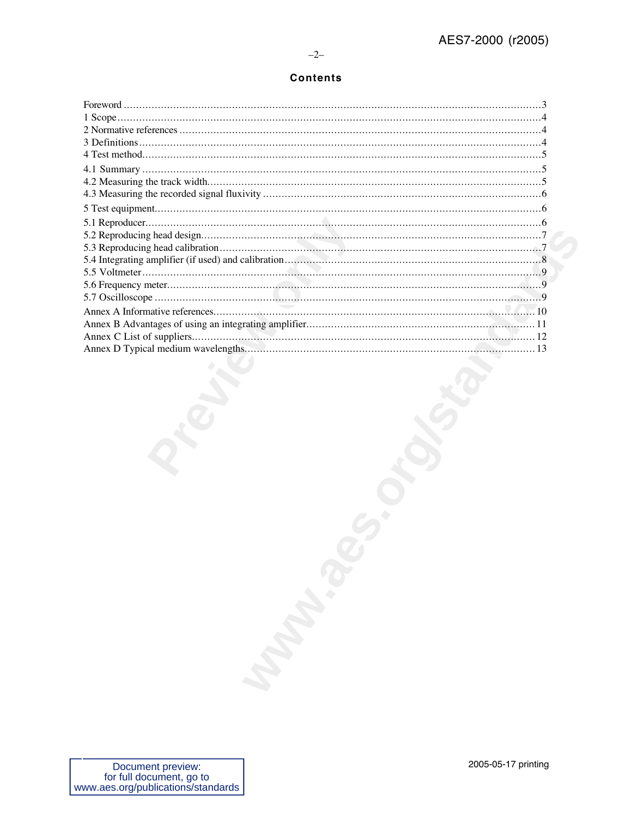# **Contents**

| <b>May 18</b> |
|---------------|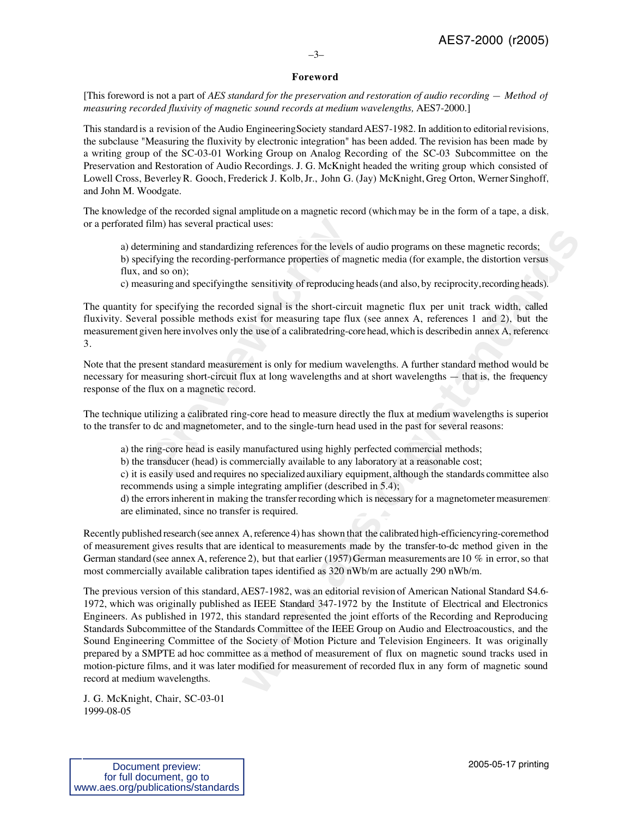# –3–

# **Foreword**

[This foreword is not a part of *AES standard for the preservation and restoration of audio recording — Method of measuring recorded fluxivity of magnetic sound records at medium wavelengths,* AES7-2000.]

This standard is a revision of the Audio Engineering Society standard AES7-1982. In addition to editorial revisions, the subclause "Measuring the fluxivity by electronic integration" has been added. The revision has been made by a writing group of the SC-03-01 Working Group on Analog Recording of the SC-03 Subcommittee on the Preservation and Restoration of Audio Recordings. J. G. McKnight headed the writing group which consisted of Lowell Cross, Beverley R. Gooch, Frederick J. Kolb, Jr., John G. (Jay) McKnight, Greg Orton, Werner Singhoff, and John M. Woodgate.

The knowledge of the recorded signal amplitude on a magnetic record (which may be in the form of a tape, a disk, or a perforated film) has several practical uses:

a) determining and standardizing references for the levels of audio programs on these magnetic records; b) specifying the recording-performance properties of magnetic media (for example, the distortion versus flux, and so on);

c) measuring and specifying the sensitivity of reproducing heads (and also, by reciprocity, recording heads).

film) has several practical uses:<br>
rmining and standardizing references for the levels c<br>
cifying the recording-performance properties of mag<br>
and so on);<br>
surring and specifying the sensitivity of reproducing h<br>
or specif The quantity for specifying the recorded signal is the short-circuit magnetic flux per unit track width, called fluxivity. Several possible methods exist for measuring tape flux (see annex A, references 1 and 2), but the measurement given here involves only the use of a calibrated ring-core head, which is described in annex A, reference 3.

Note that the present standard measurement is only for medium wavelengths. A further standard method would be necessary for measuring short-circuit flux at long wavelengths and at short wavelengths — that is, the frequency response of the flux on a magnetic record.

The technique utilizing a calibrated ring-core head to measure directly the flux at medium wavelengths is superior to the transfer to dc and magnetometer, and to the single-turn head used in the past for several reasons:

a) the ring-core head is easily manufactured using highly perfected commercial methods;

b) the transducer (head) is commercially available to any laboratory at a reasonable cost;

c) it is easily used and requires no specialized auxiliary equipment, although the standards committee also recommends using a simple integrating amplifier (described in 5.4);

d) the errors inherent in making the transfer recording which is necessary for a magnetometer measurement are eliminated, since no transfer is required.

Recently published research (see annex A, reference 4) has shown that the calibrated high-efficiency ring-core method of measurement gives results that are identical to measurements made by the transfer-to-dc method given in the German standard (see annex A, reference 2), but that earlier (1957) German measurements are 10 % in error, so that most commercially available calibration tapes identified as 320 nWb/m are actually 290 nWb/m.

ting references for the levels of audio programs on these magnetic records;<br>riformance properties of magnetic media (for example, the distortion versus<br>e sensitivity of reproducing heads (and also, by reciprocity, recordin The previous version of this standard, AES7-1982, was an editorial revision of American National Standard S4.6- 1972, which was originally published as IEEE Standard 347-1972 by the Institute of Electrical and Electronics Engineers. As published in 1972, this standard represented the joint efforts of the Recording and Reproducing Standards Subcommittee of the Standards Committee of the IEEE Group on Audio and Electroacoustics, and the Sound Engineering Committee of the Society of Motion Picture and Television Engineers. It was originally prepared by a SMPTE ad hoc committee as a method of measurement of flux on magnetic sound tracks used in motion-picture films, and it was later modified for measurement of recorded flux in any form of magnetic sound record at medium wavelengths.

J. G. McKnight, Chair, SC-03-01 1999-08-05